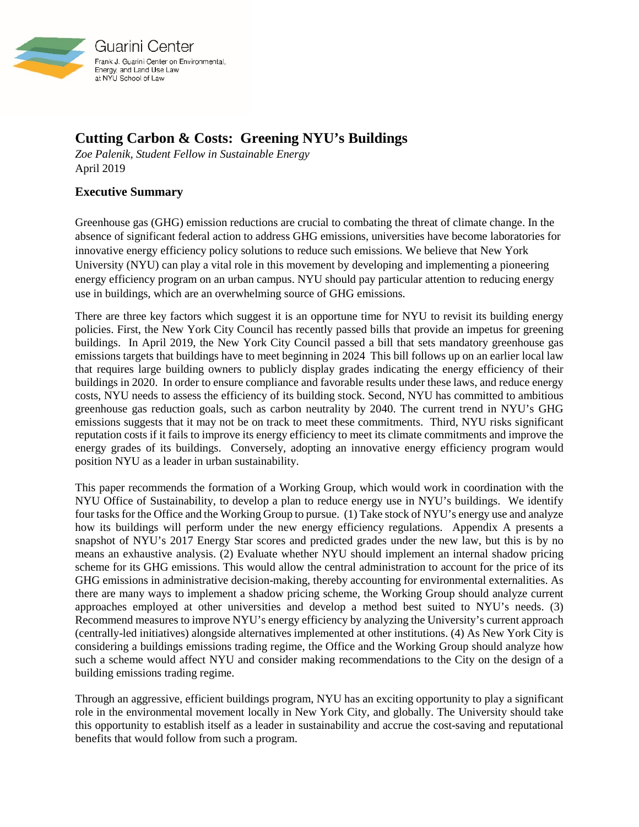

Guarini Center Frank J. Guarini Center on Environmental, Energy, and Land Use Law at NYU School of Law

## **Cutting Carbon & Costs: Greening NYU's Buildings**

*Zoe Palenik, Student Fellow in Sustainable Energy* April 2019

## **Executive Summary**

Greenhouse gas (GHG) emission reductions are crucial to combating the threat of climate change. In the absence of significant federal action to address GHG emissions, universities have become laboratories for innovative energy efficiency policy solutions to reduce such emissions. We believe that New York University (NYU) can play a vital role in this movement by developing and implementing a pioneering energy efficiency program on an urban campus. NYU should pay particular attention to reducing energy use in buildings, which are an overwhelming source of GHG emissions.

There are three key factors which suggest it is an opportune time for NYU to revisit its building energy policies. First, the New York City Council has recently passed bills that provide an impetus for greening buildings. In April 2019, the New York City Council passed a bill that sets mandatory greenhouse gas emissions targets that buildings have to meet beginning in 2024 This bill follows up on an earlier local law that requires large building owners to publicly display grades indicating the energy efficiency of their buildings in 2020. In order to ensure compliance and favorable results under these laws, and reduce energy costs, NYU needs to assess the efficiency of its building stock. Second, NYU has committed to ambitious greenhouse gas reduction goals, such as carbon neutrality by 2040. The current trend in NYU's GHG emissions suggests that it may not be on track to meet these commitments. Third, NYU risks significant reputation costs if it fails to improve its energy efficiency to meet its climate commitments and improve the energy grades of its buildings. Conversely, adopting an innovative energy efficiency program would position NYU as a leader in urban sustainability.

This paper recommends the formation of a Working Group, which would work in coordination with the NYU Office of Sustainability, to develop a plan to reduce energy use in NYU's buildings. We identify four tasks for the Office and the Working Group to pursue. (1) Take stock of NYU's energy use and analyze how its buildings will perform under the new energy efficiency regulations. Appendix A presents a snapshot of NYU's 2017 Energy Star scores and predicted grades under the new law, but this is by no means an exhaustive analysis. (2) Evaluate whether NYU should implement an internal shadow pricing scheme for its GHG emissions. This would allow the central administration to account for the price of its GHG emissions in administrative decision-making, thereby accounting for environmental externalities. As there are many ways to implement a shadow pricing scheme, the Working Group should analyze current approaches employed at other universities and develop a method best suited to NYU's needs. (3) Recommend measures to improve NYU's energy efficiency by analyzing the University's current approach (centrally-led initiatives) alongside alternatives implemented at other institutions. (4) As New York City is considering a buildings emissions trading regime, the Office and the Working Group should analyze how such a scheme would affect NYU and consider making recommendations to the City on the design of a building emissions trading regime.

Through an aggressive, efficient buildings program, NYU has an exciting opportunity to play a significant role in the environmental movement locally in New York City, and globally. The University should take this opportunity to establish itself as a leader in sustainability and accrue the cost-saving and reputational benefits that would follow from such a program.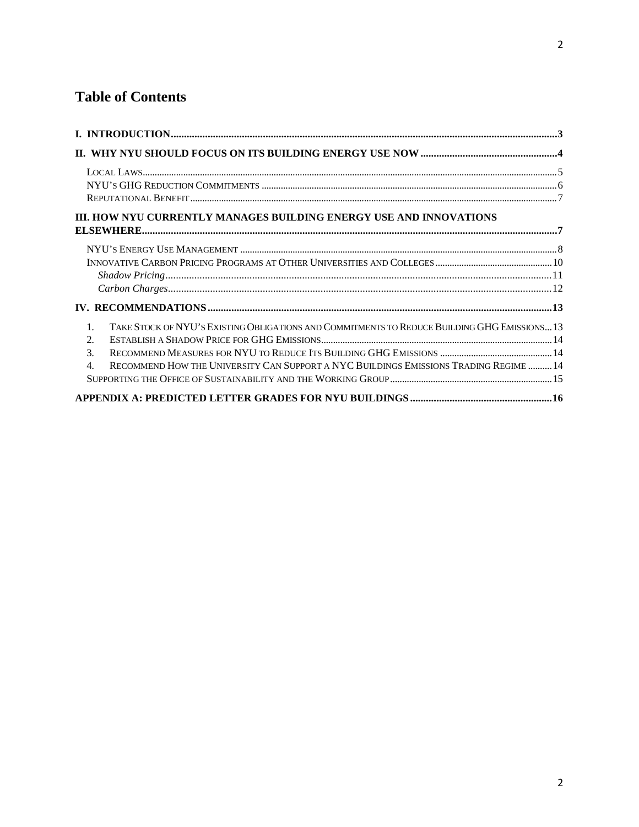# **Table of Contents**

| III. HOW NYU CURRENTLY MANAGES BUILDING ENERGY USE AND INNOVATIONS                                             |  |
|----------------------------------------------------------------------------------------------------------------|--|
|                                                                                                                |  |
|                                                                                                                |  |
|                                                                                                                |  |
|                                                                                                                |  |
|                                                                                                                |  |
|                                                                                                                |  |
| TAKE STOCK OF NYU'S EXISTING OBLIGATIONS AND COMMITMENTS TO REDUCE BUILDING GHG EMISSIONS 13<br>$\mathbf{1}$ . |  |
| 2.                                                                                                             |  |
| $\mathcal{F}_{\mathcal{L}}$                                                                                    |  |
| RECOMMEND HOW THE UNIVERSITY CAN SUPPORT A NYC BUILDINGS EMISSIONS TRADING REGIME  14<br>$\mathbf{4}$ .        |  |
|                                                                                                                |  |
|                                                                                                                |  |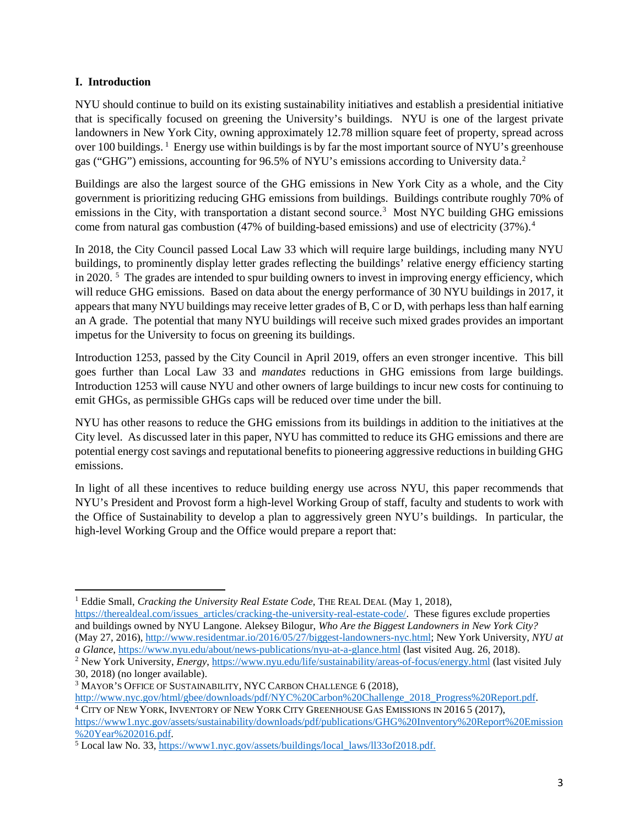#### <span id="page-2-0"></span>**I. Introduction**

NYU should continue to build on its existing sustainability initiatives and establish a presidential initiative that is specifically focused on greening the University's buildings. NYU is one of the largest private landowners in New York City, owning approximately 12.78 million square feet of property, spread across over [1](#page-2-1)00 buildings. <sup>1</sup> Energy use within buildings is by far the most important source of NYU's greenhouse gas ("GHG") emissions, accounting for 96.5% of NYU's emissions according to University data.<sup>[2](#page-2-2)</sup>

Buildings are also the largest source of the GHG emissions in New York City as a whole, and the City government is prioritizing reducing GHG emissions from buildings. Buildings contribute roughly 70% of emissions in the City, with transportation a distant second source.<sup>[3](#page-2-3)</sup> Most NYC building GHG emissions come from natural gas combustion (47% of building-based emissions) and use of electricity (37%). [4](#page-2-4)

In 2018, the City Council passed Local Law 33 which will require large buildings, including many NYU buildings, to prominently display letter grades reflecting the buildings' relative energy efficiency starting in 2020.  $\frac{5}{3}$  $\frac{5}{3}$  $\frac{5}{3}$  The grades are intended to spur building owners to invest in improving energy efficiency, which will reduce GHG emissions. Based on data about the energy performance of 30 NYU buildings in 2017, it appears that many NYU buildings may receive letter grades of B, C or D, with perhaps less than half earning an A grade. The potential that many NYU buildings will receive such mixed grades provides an important impetus for the University to focus on greening its buildings.

Introduction 1253, passed by the City Council in April 2019, offers an even stronger incentive. This bill goes further than Local Law 33 and *mandates* reductions in GHG emissions from large buildings. Introduction 1253 will cause NYU and other owners of large buildings to incur new costs for continuing to emit GHGs, as permissible GHGs caps will be reduced over time under the bill.

NYU has other reasons to reduce the GHG emissions from its buildings in addition to the initiatives at the City level. As discussed later in this paper, NYU has committed to reduce its GHG emissions and there are potential energy cost savings and reputational benefits to pioneering aggressive reductions in building GHG emissions.

In light of all these incentives to reduce building energy use across NYU, this paper recommends that NYU's President and Provost form a high-level Working Group of staff, faculty and students to work with the Office of Sustainability to develop a plan to aggressively green NYU's buildings. In particular, the high-level Working Group and the Office would prepare a report that:

<span id="page-2-3"></span><sup>3</sup> MAYOR'S OFFICE OF SUSTAINABILITY, NYC CARBON CHALLENGE 6 (2018),<br>http://www.nyc.gov/html/gbee/downloads/pdf/NYC%20Carbon%20Challenge\_2018\_Progress%20Report.pdf.

 $\overline{a}$ <sup>1</sup> Eddie Small, *Cracking the University Real Estate Code*, THE REAL DEAL (May 1, 2018),

<span id="page-2-1"></span>[https://therealdeal.com/issues\\_articles/cracking-the-university-real-estate-code/.](https://therealdeal.com/issues_articles/cracking-the-university-real-estate-code/) These figures exclude properties and buildings owned by NYU Langone. Aleksey Bilogur, *Who Are the Biggest Landowners in New York City?* (May 27, 2016)[, http://www.residentmar.io/2016/05/27/biggest-landowners-nyc.html;](http://www.residentmar.io/2016/05/27/biggest-landowners-nyc.html) New York University, *NYU at a Glance*, https://www.nyu.edu/about/news-publications/nyu-at-a-glance.html (last visited Aug. 26, 2018).

<span id="page-2-2"></span><sup>&</sup>lt;sup>2</sup> New York University, *Energy*,<https://www.nyu.edu/life/sustainability/areas-of-focus/energy.html> (last visited July 30, 2018) (no longer available).

<span id="page-2-4"></span><sup>&</sup>lt;sup>4</sup> CITY OF NEW YORK, INVENTORY OF NEW YORK CITY GREENHOUSE GAS EMISSIONS IN 2016 5 (2017), [https://www1.nyc.gov/assets/sustainability/downloads/pdf/publications/GHG%20Inventory%20Report%20Emission](https://www1.nyc.gov/assets/sustainability/downloads/pdf/publications/GHG%20Inventory%20Report%20Emission%20Year%202016.pdf)

<span id="page-2-5"></span><sup>&</sup>lt;sup>[5](https://www1.nyc.gov/assets/sustainability/downloads/pdf/publications/GHG%20Inventory%20Report%20Emission%20Year%202016.pdf)</sup> Local law No. 33, [https://www1.nyc.gov/assets/buildings/local\\_laws/ll33of2018.pdf.](https://www1.nyc.gov/assets/buildings/local_laws/ll33of2018.pdf)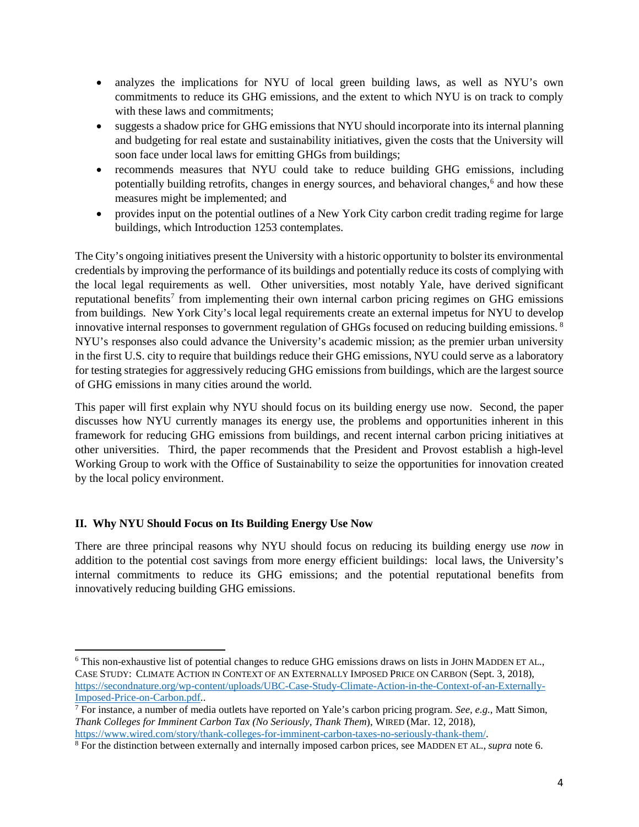- analyzes the implications for NYU of local green building laws, as well as NYU's own commitments to reduce its GHG emissions, and the extent to which NYU is on track to comply with these laws and commitments;
- suggests a shadow price for GHG emissions that NYU should incorporate into its internal planning and budgeting for real estate and sustainability initiatives, given the costs that the University will soon face under local laws for emitting GHGs from buildings;
- <span id="page-3-1"></span>• recommends measures that NYU could take to reduce building GHG emissions, including potentially building retrofits, changes in energy sources, and behavioral changes,<sup>[6](#page-3-2)</sup> and how these measures might be implemented; and
- provides input on the potential outlines of a New York City carbon credit trading regime for large buildings, which Introduction 1253 contemplates.

The City's ongoing initiatives present the University with a historic opportunity to bolster its environmental credentials by improving the performance of its buildings and potentially reduce its costs of complying with the local legal requirements as well. Other universities, most notably Yale, have derived significant reputational benefits<sup>[7](#page-3-3)</sup> from implementing their own internal carbon pricing regimes on GHG emissions from buildings. New York City's local legal requirements create an external impetus for NYU to develop innovative internal responses to government regulation of GHGs focused on reducing building emissions. [8](#page-3-4) NYU's responses also could advance the University's academic mission; as the premier urban university in the first U.S. city to require that buildings reduce their GHG emissions, NYU could serve as a laboratory for testing strategies for aggressively reducing GHG emissions from buildings, which are the largest source of GHG emissions in many cities around the world.

This paper will first explain why NYU should focus on its building energy use now. Second, the paper discusses how NYU currently manages its energy use, the problems and opportunities inherent in this framework for reducing GHG emissions from buildings, and recent internal carbon pricing initiatives at other universities. Third, the paper recommends that the President and Provost establish a high-level Working Group to work with the Office of Sustainability to seize the opportunities for innovation created by the local policy environment.

### <span id="page-3-0"></span>**II. Why NYU Should Focus on Its Building Energy Use Now**

l

There are three principal reasons why NYU should focus on reducing its building energy use *now* in addition to the potential cost savings from more energy efficient buildings: local laws, the University's internal commitments to reduce its GHG emissions; and the potential reputational benefits from innovatively reducing building GHG emissions.

<span id="page-3-2"></span><sup>&</sup>lt;sup>6</sup> This non-exhaustive list of potential changes to reduce GHG emissions draws on lists in JOHN MADDEN ET AL., CASE STUDY: CLIMATE ACTION IN CONTEXT OF AN EXTERNALLY IMPOSED PRICE ON CARBON (Sept. 3, 2018), [https://secondnature.org/wp-content/uploads/UBC-Case-Study-Climate-Action-in-the-Context-of-an-Externally-](https://secondnature.org/wp-content/uploads/UBC-Case-Study-Climate-Action-in-the-Context-of-an-Externally-Imposed-Price-on-Carbon.pdf)[Imposed-Price-on-Carbon.pdf.](https://secondnature.org/wp-content/uploads/UBC-Case-Study-Climate-Action-in-the-Context-of-an-Externally-Imposed-Price-on-Carbon.pdf).

<span id="page-3-3"></span><sup>7</sup> For instance, a number of media outlets have reported on Yale's carbon pricing program. *See, e.g.*, Matt Simon, *Thank Colleges for Imminent Carbon Tax (No Seriously, Thank Them*), WIRED (Mar. 12, 2018), [https://www.wired.com/story/thank-colleges-for-imminent-carbon-taxes-no-seriously-thank-them/.](https://www.wired.com/story/thank-colleges-for-imminent-carbon-taxes-no-seriously-thank-them/)

<span id="page-3-4"></span><sup>&</sup>lt;sup>8</sup> For the distinction between externally and internally imposed carbon prices, see MADDEN ET AL., *supra* note [6.](#page-3-1)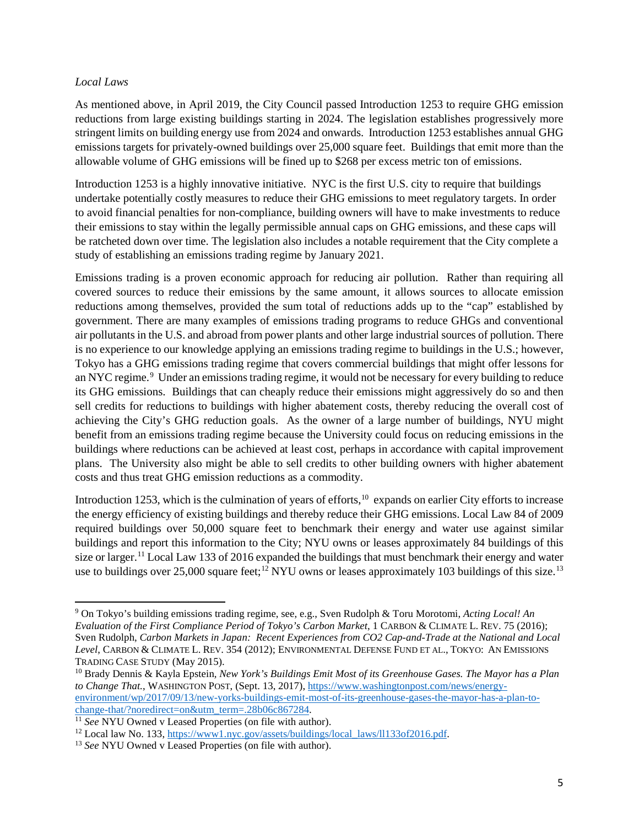#### <span id="page-4-0"></span>*Local Laws*

 $\overline{\phantom{a}}$ 

As mentioned above, in April 2019, the City Council passed Introduction 1253 to require GHG emission reductions from large existing buildings starting in 2024. The legislation establishes progressively more stringent limits on building energy use from 2024 and onwards. Introduction 1253 establishes annual GHG emissions targets for privately-owned buildings over 25,000 square feet. Buildings that emit more than the allowable volume of GHG emissions will be fined up to \$268 per excess metric ton of emissions.

Introduction 1253 is a highly innovative initiative. NYC is the first U.S. city to require that buildings undertake potentially costly measures to reduce their GHG emissions to meet regulatory targets. In order to avoid financial penalties for non-compliance, building owners will have to make investments to reduce their emissions to stay within the legally permissible annual caps on GHG emissions, and these caps will be ratcheted down over time. The legislation also includes a notable requirement that the City complete a study of establishing an emissions trading regime by January 2021.

Emissions trading is a proven economic approach for reducing air pollution. Rather than requiring all covered sources to reduce their emissions by the same amount, it allows sources to allocate emission reductions among themselves, provided the sum total of reductions adds up to the "cap" established by government. There are many examples of emissions trading programs to reduce GHGs and conventional air pollutants in the U.S. and abroad from power plants and other large industrial sources of pollution. There is no experience to our knowledge applying an emissions trading regime to buildings in the U.S.; however, Tokyo has a GHG emissions trading regime that covers commercial buildings that might offer lessons for an NYC regime.<sup>[9](#page-4-1)</sup> Under an emissions trading regime, it would not be necessary for every building to reduce its GHG emissions. Buildings that can cheaply reduce their emissions might aggressively do so and then sell credits for reductions to buildings with higher abatement costs, thereby reducing the overall cost of achieving the City's GHG reduction goals. As the owner of a large number of buildings, NYU might benefit from an emissions trading regime because the University could focus on reducing emissions in the buildings where reductions can be achieved at least cost, perhaps in accordance with capital improvement plans. The University also might be able to sell credits to other building owners with higher abatement costs and thus treat GHG emission reductions as a commodity.

Introduction 1253, which is the culmination of years of efforts,<sup>[10](#page-4-2)</sup> expands on earlier City efforts to increase the energy efficiency of existing buildings and thereby reduce their GHG emissions. Local Law 84 of 2009 required buildings over 50,000 square feet to benchmark their energy and water use against similar buildings and report this information to the City; NYU owns or leases approximately 84 buildings of this size or larger.<sup>[11](#page-4-3)</sup> Local Law 133 of 2016 expanded the buildings that must benchmark their energy and water use to buildings over 25,000 square feet;<sup>[12](#page-4-4)</sup> NYU owns or leases approximately 103 buildings of this size.<sup>[13](#page-4-5)</sup>

<span id="page-4-1"></span><sup>9</sup> On Tokyo's building emissions trading regime, see, e.g., Sven Rudolph & Toru Morotomi, *Acting Local! An Evaluation of the First Compliance Period of Tokyo's Carbon Market*, 1 CARBON & CLIMATE L. REV. 75 (2016); Sven Rudolph, *Carbon Markets in Japan: Recent Experiences from CO2 Cap-and-Trade at the National and Local Level*, CARBON & CLIMATE L. REV. 354 (2012); ENVIRONMENTAL DEFENSE FUND ET AL., TOKYO: AN EMISSIONS TRADING CASE STUDY (May 2015).

<span id="page-4-2"></span><sup>10</sup> Brady Dennis & Kayla Epstein*, New York's Buildings Emit Most of its Greenhouse Gases. The Mayor has a Plan to Change That.*, WASHINGTON POST, (Sept. 13, 2017), [https://www.washingtonpost.com/news/energy](https://www.washingtonpost.com/news/energy-environment/wp/2017/09/13/new-yorks-buildings-emit-most-of-its-greenhouse-gases-the-mayor-has-a-plan-to-change-that/?noredirect=on&utm_term=.28b06c867284)[environment/wp/2017/09/13/new-yorks-buildings-emit-most-of-its-greenhouse-gases-the-mayor-has-a-plan-to-](https://www.washingtonpost.com/news/energy-environment/wp/2017/09/13/new-yorks-buildings-emit-most-of-its-greenhouse-gases-the-mayor-has-a-plan-to-change-that/?noredirect=on&utm_term=.28b06c867284)

<span id="page-4-4"></span><span id="page-4-3"></span><sup>&</sup>lt;sup>11</sup> See NYU Owned v Leased Properties (on file with author).<br><sup>12</sup> Local law No. 133,  $\frac{https://www1.nyc.gov/assets/buildings/local 1aws/II133of2016.pdf.$ <br><sup>13</sup> See NYU Owned v Leased Properties (on file with author).

<span id="page-4-5"></span>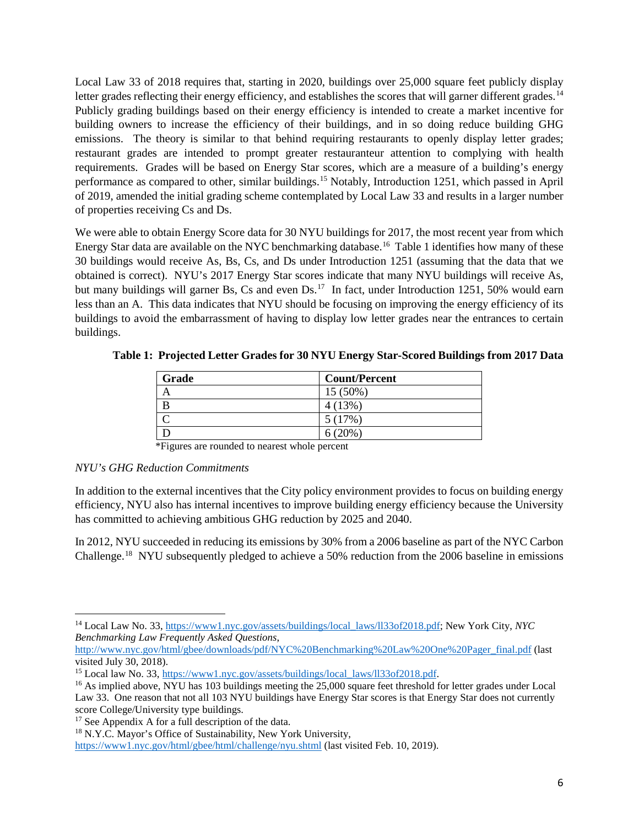Local Law 33 of 2018 requires that, starting in 2020, buildings over 25,000 square feet publicly display letter grades reflecting their energy efficiency, and establishes the scores that will garner different grades.<sup>[14](#page-5-1)</sup> Publicly grading buildings based on their energy efficiency is intended to create a market incentive for building owners to increase the efficiency of their buildings, and in so doing reduce building GHG emissions. The theory is similar to that behind requiring restaurants to openly display letter grades; restaurant grades are intended to prompt greater restauranteur attention to complying with health requirements. Grades will be based on Energy Star scores, which are a measure of a building's energy performance as compared to other, similar buildings.[15](#page-5-2) Notably, Introduction 1251, which passed in April of 2019, amended the initial grading scheme contemplated by Local Law 33 and results in a larger number of properties receiving Cs and Ds.

We were able to obtain Energy Score data for 30 NYU buildings for 2017, the most recent year from which Energy Star data are available on the NYC benchmarking database.[16](#page-5-3) Table 1 identifies how many of these 30 buildings would receive As, Bs, Cs, and Ds under Introduction 1251 (assuming that the data that we obtained is correct). NYU's 2017 Energy Star scores indicate that many NYU buildings will receive As, but many buildings will garner Bs, Cs and even Ds.<sup>[17](#page-5-4)</sup> In fact, under Introduction 1251, 50% would earn less than an A. This data indicates that NYU should be focusing on improving the energy efficiency of its buildings to avoid the embarrassment of having to display low letter grades near the entrances to certain buildings.

| Grade | <b>Count/Percent</b> |
|-------|----------------------|
|       | $15(50\%)$           |
|       | 4(13%)               |
|       | 5(17%)               |
|       | 6(20%)               |

**Table 1: Projected Letter Grades for 30 NYU Energy Star-Scored Buildings from 2017 Data**

\*Figures are rounded to nearest whole percent

#### <span id="page-5-0"></span>*NYU's GHG Reduction Commitments*

l

In addition to the external incentives that the City policy environment provides to focus on building energy efficiency, NYU also has internal incentives to improve building energy efficiency because the University has committed to achieving ambitious GHG reduction by 2025 and 2040.

In 2012, NYU succeeded in reducing its emissions by 30% from a 2006 baseline as part of the NYC Carbon Challenge.[18](#page-5-5) NYU subsequently pledged to achieve a 50% reduction from the 2006 baseline in emissions

<span id="page-5-1"></span><sup>14</sup> Local Law No. 33, [https://www1.nyc.gov/assets/buildings/local\\_laws/ll33of2018.pdf;](https://www1.nyc.gov/assets/buildings/local_laws/ll33of2018.pdf) New York City, *NYC Benchmarking Law Frequently Asked Questions*,

[http://www.nyc.gov/html/gbee/downloads/pdf/NYC%20Benchmarking%20Law%20One%20Pager\\_final.pdf](http://www.nyc.gov/html/gbee/downloads/pdf/NYC%20Benchmarking%20Law%20One%20Pager_final.pdf) (last visited July 30, 2018).<br><sup>15</sup> Local law No. 33, https://www1.nyc.gov/assets/buildings/local\_laws/ll33of2018.pdf.

<span id="page-5-2"></span>

<span id="page-5-3"></span><sup>&</sup>lt;sup>16</sup> As implied above, NYU has 103 buildings meeting the 25,000 square feet threshold for letter grades under Local Law 33. One reason that not all 103 NYU buildings have Energy Star scores is that Energy Star does not currently score College/University type buildings.

<span id="page-5-4"></span><sup>&</sup>lt;sup>17</sup> See Appendix A for a full description of the data.

<span id="page-5-5"></span><sup>&</sup>lt;sup>18</sup> N.Y.C. Mayor's Office of Sustainability, New York University,

<https://www1.nyc.gov/html/gbee/html/challenge/nyu.shtml> (last visited Feb. 10, 2019).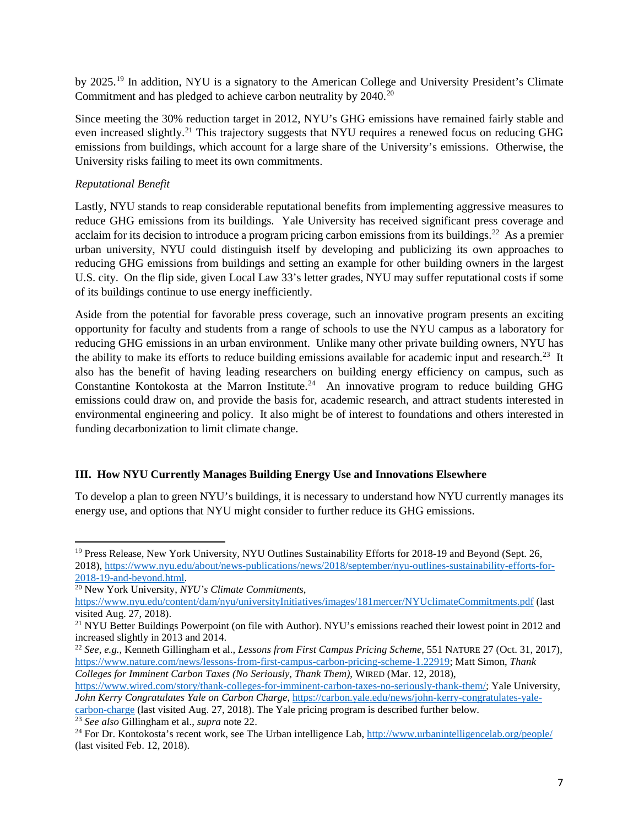by 2025.<sup>[19](#page-6-3)</sup> In addition, NYU is a signatory to the American College and University President's Climate Commitment and has pledged to achieve carbon neutrality by [20](#page-6-4)40.<sup>20</sup>

Since meeting the 30% reduction target in 2012, NYU's GHG emissions have remained fairly stable and even increased slightly.<sup>21</sup> This trajectory suggests that NYU requires a renewed focus on reducing GHG emissions from buildings, which account for a large share of the University's emissions. Otherwise, the University risks failing to meet its own commitments.

## <span id="page-6-0"></span>*Reputational Benefit*

l

<span id="page-6-2"></span>Lastly, NYU stands to reap considerable reputational benefits from implementing aggressive measures to reduce GHG emissions from its buildings. Yale University has received significant press coverage and acclaim for its decision to introduce a program pricing carbon emissions from its buildings.<sup>22</sup> As a premier urban university, NYU could distinguish itself by developing and publicizing its own approaches to reducing GHG emissions from buildings and setting an example for other building owners in the largest U.S. city. On the flip side, given Local Law 33's letter grades, NYU may suffer reputational costs if some of its buildings continue to use energy inefficiently.

Aside from the potential for favorable press coverage, such an innovative program presents an exciting opportunity for faculty and students from a range of schools to use the NYU campus as a laboratory for reducing GHG emissions in an urban environment. Unlike many other private building owners, NYU has the ability to make its efforts to reduce building emissions available for academic input and research.<sup>[23](#page-6-7)</sup> It also has the benefit of having leading researchers on building energy efficiency on campus, such as Constantine Kontokosta at the Marron Institute.<sup>[24](#page-6-8)</sup> An innovative program to reduce building GHG emissions could draw on, and provide the basis for, academic research, and attract students interested in environmental engineering and policy. It also might be of interest to foundations and others interested in funding decarbonization to limit climate change.

### <span id="page-6-1"></span>**III. How NYU Currently Manages Building Energy Use and Innovations Elsewhere**

To develop a plan to green NYU's buildings, it is necessary to understand how NYU currently manages its energy use, and options that NYU might consider to further reduce its GHG emissions.

<span id="page-6-6"></span><sup>22</sup> *See, e.g.*, Kenneth Gillingham et al., *Lessons from First Campus Pricing Scheme*, 551 NATURE 27 (Oct. 31, 2017), [https://www.nature.com/news/lessons-from-first-campus-carbon-pricing-scheme-1.22919;](https://www.nature.com/news/lessons-from-first-campus-carbon-pricing-scheme-1.22919) Matt Simon, *Thank Colleges for Imminent Carbon Taxes (No Seriously, Thank Them)*, WIRED (Mar. 12, 2018),

[https://www.wired.com/story/thank-colleges-for-imminent-carbon-taxes-no-seriously-thank-them/;](https://www.wired.com/story/thank-colleges-for-imminent-carbon-taxes-no-seriously-thank-them/) Yale University, *John Kerry Congratulates Yale on Carbon Charge*, [https://carbon.yale.edu/news/john-kerry-congratulates-yale-](https://carbon.yale.edu/news/john-kerry-congratulates-yale-carbon-charge)

[carbon-charge](https://carbon.yale.edu/news/john-kerry-congratulates-yale-carbon-charge) (last visited Aug. 27, 2018). The Yale pricing program is described further below. <sup>23</sup> *See also* Gillingham et al., *supra* note [22.](#page-6-2)

<span id="page-6-3"></span><sup>&</sup>lt;sup>19</sup> Press Release, New York University, NYU Outlines Sustainability Efforts for 2018-19 and Beyond (Sept. 26, 2018), [https://www.nyu.edu/about/news-publications/news/2018/september/nyu-outlines-sustainability-efforts-for-](https://www.nyu.edu/about/news-publications/news/2018/september/nyu-outlines-sustainability-efforts-for-2018-19-and-beyond.html)[2018-19-and-beyond.html.](https://www.nyu.edu/about/news-publications/news/2018/september/nyu-outlines-sustainability-efforts-for-2018-19-and-beyond.html)

<span id="page-6-4"></span><sup>20</sup> New York University, *NYU's Climate Commitments*,

<https://www.nyu.edu/content/dam/nyu/universityInitiatives/images/181mercer/NYUclimateCommitments.pdf> (last visited Aug. 27, 2018).

<span id="page-6-5"></span><sup>&</sup>lt;sup>21</sup> NYU Better Buildings Powerpoint (on file with Author). NYU's emissions reached their lowest point in 2012 and increased slightly in 2013 and 2014.

<span id="page-6-8"></span><span id="page-6-7"></span><sup>&</sup>lt;sup>24</sup> For Dr. Kontokosta's recent work, see The Urban intelligence Lab,  $http://www.urbanintelligencelab.org/people/$ (last visited Feb. 12, 2018).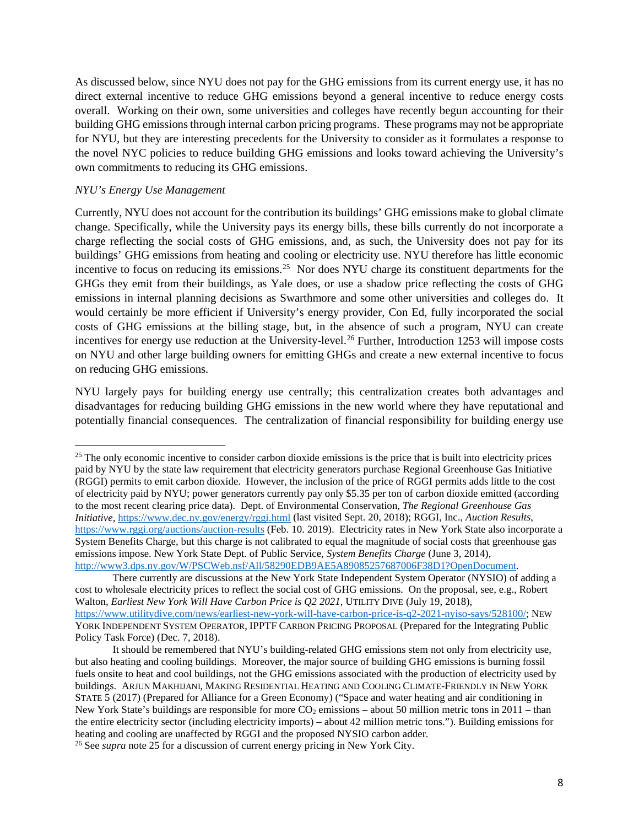As discussed below, since NYU does not pay for the GHG emissions from its current energy use, it has no direct external incentive to reduce GHG emissions beyond a general incentive to reduce energy costs overall. Working on their own, some universities and colleges have recently begun accounting for their building GHG emissions through internal carbon pricing programs. These programs may not be appropriate for NYU, but they are interesting precedents for the University to consider as it formulates a response to the novel NYC policies to reduce building GHG emissions and looks toward achieving the University's own commitments to reducing its GHG emissions.

#### <span id="page-7-0"></span>*NYU's Energy Use Management*

 $\overline{a}$ 

<span id="page-7-1"></span>Currently, NYU does not account for the contribution its buildings' GHG emissions make to global climate change. Specifically, while the University pays its energy bills, these bills currently do not incorporate a charge reflecting the social costs of GHG emissions, and, as such, the University does not pay for its buildings' GHG emissions from heating and cooling or electricity use. NYU therefore has little economic incentive to focus on reducing its emissions.<sup>25</sup> Nor does NYU charge its constituent departments for the GHGs they emit from their buildings, as Yale does, or use a shadow price reflecting the costs of GHG emissions in internal planning decisions as Swarthmore and some other universities and colleges do. It would certainly be more efficient if University's energy provider, Con Ed, fully incorporated the social costs of GHG emissions at the billing stage, but, in the absence of such a program, NYU can create incentives for energy use reduction at the University-level.<sup>[26](#page-7-3)</sup> Further, Introduction 1253 will impose costs on NYU and other large building owners for emitting GHGs and create a new external incentive to focus on reducing GHG emissions.

NYU largely pays for building energy use centrally; this centralization creates both advantages and disadvantages for reducing building GHG emissions in the new world where they have reputational and potentially financial consequences. The centralization of financial responsibility for building energy use

<span id="page-7-2"></span><sup>&</sup>lt;sup>25</sup> The only economic incentive to consider carbon dioxide emissions is the price that is built into electricity prices paid by NYU by the state law requirement that electricity generators purchase Regional Greenhouse Gas Initiative (RGGI) permits to emit carbon dioxide. However, the inclusion of the price of RGGI permits adds little to the cost of electricity paid by NYU; power generators currently pay only \$5.35 per ton of carbon dioxide emitted (according to the most recent clearing price data). Dept. of Environmental Conservation, *The Regional Greenhouse Gas Initiative*,<https://www.dec.ny.gov/energy/rggi.html> (last visited Sept. 20, 2018); RGGI, Inc., *Auction Results*, <https://www.rggi.org/auctions/auction-results> (Feb. 10. 2019). Electricity rates in New York State also incorporate a System Benefits Charge, but this charge is not calibrated to equal the magnitude of social costs that greenhouse gas emissions impose. New York State Dept. of Public Service, *System Benefits Charge* (June 3, 2014), [http://www3.dps.ny.gov/W/PSCWeb.nsf/All/58290EDB9AE5A89085257687006F38D1?OpenDocument.](http://www3.dps.ny.gov/W/PSCWeb.nsf/All/58290EDB9AE5A89085257687006F38D1?OpenDocument)

There currently are discussions at the New York State Independent System Operator (NYSIO) of adding a cost to wholesale electricity prices to reflect the social cost of GHG emissions. On the proposal, see, e.g., Robert Walton, *Earliest New York Will Have Carbon Price is Q2 2021*, UTILITY DIVE (July 19, 2018), [https://www.utilitydive.com/news/earliest-new-york-will-have-carbon-price-is-q2-2021-nyiso-says/528100/;](https://www.utilitydive.com/news/earliest-new-york-will-have-carbon-price-is-q2-2021-nyiso-says/528100/) NEW YORK INDEPENDENT SYSTEM OPERATOR, IPPTF CARBON PRICING PROPOSAL (Prepared for the Integrating Public Policy Task Force) (Dec. 7, 2018).

It should be remembered that NYU's building-related GHG emissions stem not only from electricity use, but also heating and cooling buildings. Moreover, the major source of building GHG emissions is burning fossil fuels onsite to heat and cool buildings, not the GHG emissions associated with the production of electricity used by buildings. ARJUN MAKHIJANI, MAKING RESIDENTIAL HEATING AND COOLING CLIMATE-FRIENDLY IN NEW YORK STATE 5 (2017) (Prepared for Alliance for a Green Economy) ("Space and water heating and air conditioning in New York State's buildings are responsible for more  $CO_2$  emissions – about 50 million metric tons in 2011 – than the entire electricity sector (including electricity imports) – about 42 million metric tons."). Building emissions for heating and cooling are unaffected by RGGI and the proposed NYSIO carbon adder.

<span id="page-7-3"></span><sup>26</sup> See *supra* note [25](#page-7-1) for a discussion of current energy pricing in New York City.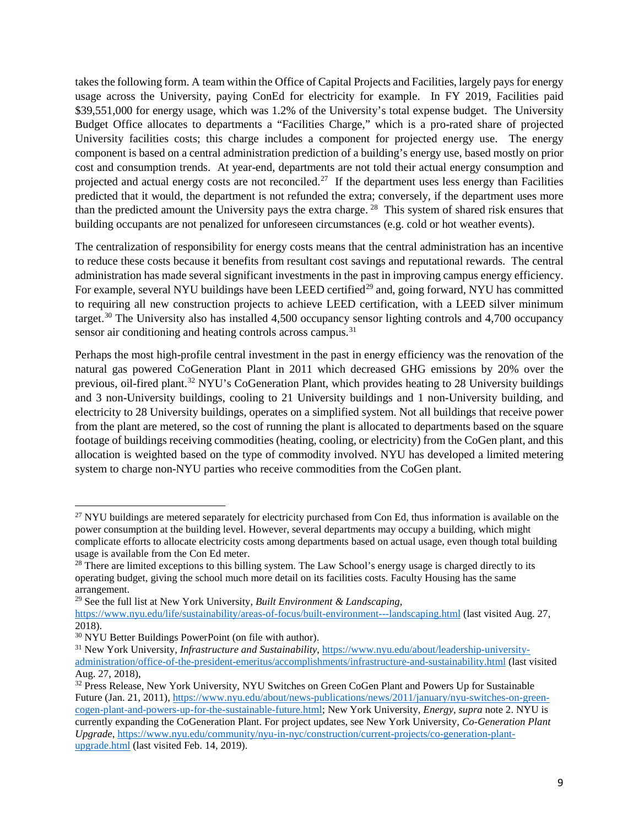takes the following form. A team within the Office of Capital Projects and Facilities, largely pays for energy usage across the University, paying ConEd for electricity for example. In FY 2019, Facilities paid \$39,551,000 for energy usage, which was 1.2% of the University's total expense budget. The University Budget Office allocates to departments a "Facilities Charge," which is a pro-rated share of projected University facilities costs; this charge includes a component for projected energy use. The energy component is based on a central administration prediction of a building's energy use, based mostly on prior cost and consumption trends. At year-end, departments are not told their actual energy consumption and projected and actual energy costs are not reconciled.<sup>27</sup> If the department uses less energy than Facilities predicted that it would, the department is not refunded the extra; conversely, if the department uses more than the predicted amount the University pays the extra charge. [28](#page-8-1) This system of shared risk ensures that building occupants are not penalized for unforeseen circumstances (e.g. cold or hot weather events).

The centralization of responsibility for energy costs means that the central administration has an incentive to reduce these costs because it benefits from resultant cost savings and reputational rewards. The central administration has made several significant investments in the past in improving campus energy efficiency. For example, several NYU buildings have been LEED certified<sup>[29](#page-8-2)</sup> and, going forward, NYU has committed to requiring all new construction projects to achieve LEED certification, with a LEED silver minimum target.[30](#page-8-3) The University also has installed 4,500 occupancy sensor lighting controls and 4,700 occupancy sensor air conditioning and heating controls across campus.<sup>[31](#page-8-4)</sup>

Perhaps the most high-profile central investment in the past in energy efficiency was the renovation of the natural gas powered CoGeneration Plant in 2011 which decreased GHG emissions by 20% over the previous, oil-fired plant.[32](#page-8-5) NYU's CoGeneration Plant, which provides heating to 28 University buildings and 3 non-University buildings, cooling to 21 University buildings and 1 non-University building, and electricity to 28 University buildings, operates on a simplified system. Not all buildings that receive power from the plant are metered, so the cost of running the plant is allocated to departments based on the square footage of buildings receiving commodities (heating, cooling, or electricity) from the CoGen plant, and this allocation is weighted based on the type of commodity involved. NYU has developed a limited metering system to charge non-NYU parties who receive commodities from the CoGen plant.

l

<span id="page-8-0"></span> $27$  NYU buildings are metered separately for electricity purchased from Con Ed, thus information is available on the power consumption at the building level. However, several departments may occupy a building, which might complicate efforts to allocate electricity costs among departments based on actual usage, even though total building usage is available from the Con Ed meter.

<span id="page-8-1"></span><sup>&</sup>lt;sup>28</sup> There are limited exceptions to this billing system. The Law School's energy usage is charged directly to its operating budget, giving the school much more detail on its facilities costs. Faculty Housing has the same arrangement.

<span id="page-8-2"></span><sup>29</sup> See the full list at New York University, *Built Environment & Landscaping*, <https://www.nyu.edu/life/sustainability/areas-of-focus/built-environment---landscaping.html> (last visited Aug. 27,

<sup>2018).&</sup>lt;br><sup>30</sup> NYU Better Buildings PowerPoint (on file with author).

<span id="page-8-4"></span><span id="page-8-3"></span><sup>&</sup>lt;sup>31</sup> New York University, *Infrastructure and Sustainability*, *https://www.nyu.edu/about/leadership-university*[administration/office-of-the-president-emeritus/accomplishments/infrastructure-and-sustainability.html](https://www.nyu.edu/about/leadership-university-administration/office-of-the-president-emeritus/accomplishments/infrastructure-and-sustainability.html) (last visited Aug. 27, 2018),

<span id="page-8-5"></span><sup>&</sup>lt;sup>32</sup> Press Release, New York University, NYU Switches on Green CoGen Plant and Powers Up for Sustainable Future (Jan. 21, 2011)[, https://www.nyu.edu/about/news-publications/news/2011/january/nyu-switches-on-green](https://www.nyu.edu/about/news-publications/news/2011/january/nyu-switches-on-green-cogen-plant-and-powers-up-for-the-sustainable-future.html)[cogen-plant-and-powers-up-for-the-sustainable-future.html;](https://www.nyu.edu/about/news-publications/news/2011/january/nyu-switches-on-green-cogen-plant-and-powers-up-for-the-sustainable-future.html) New York University, *Energy*, *supra* note 2. NYU is currently expanding the CoGeneration Plant. For project updates, see New York University, *Co-Generation Plant Upgrade*[, https://www.nyu.edu/community/nyu-in-nyc/construction/current-projects/co-generation-plant](https://www.nyu.edu/community/nyu-in-nyc/construction/current-projects/co-generation-plant-upgrade.html)[upgrade.html](https://www.nyu.edu/community/nyu-in-nyc/construction/current-projects/co-generation-plant-upgrade.html) (last visited Feb. 14, 2019).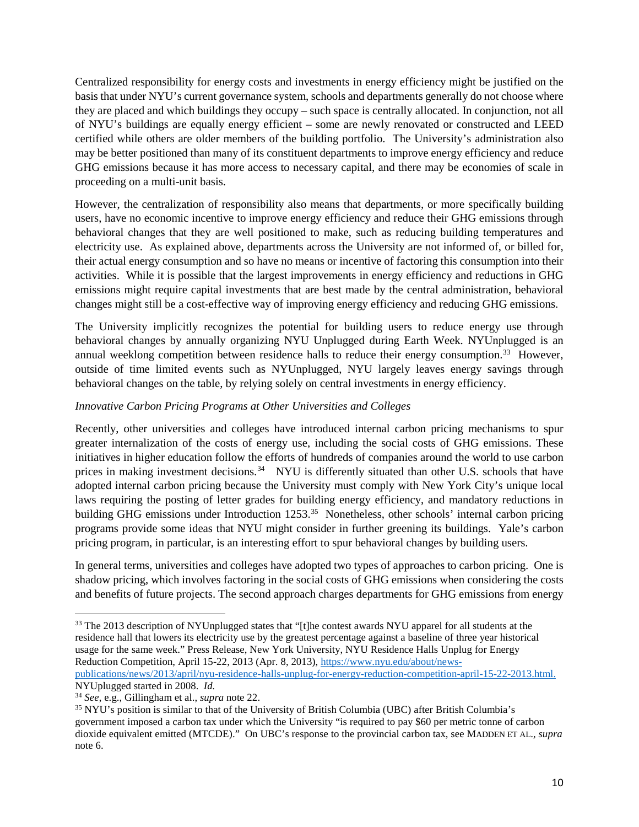Centralized responsibility for energy costs and investments in energy efficiency might be justified on the basis that under NYU's current governance system, schools and departments generally do not choose where they are placed and which buildings they occupy – such space is centrally allocated. In conjunction, not all of NYU's buildings are equally energy efficient – some are newly renovated or constructed and LEED certified while others are older members of the building portfolio. The University's administration also may be better positioned than many of its constituent departments to improve energy efficiency and reduce GHG emissions because it has more access to necessary capital, and there may be economies of scale in proceeding on a multi-unit basis.

However, the centralization of responsibility also means that departments, or more specifically building users, have no economic incentive to improve energy efficiency and reduce their GHG emissions through behavioral changes that they are well positioned to make, such as reducing building temperatures and electricity use. As explained above, departments across the University are not informed of, or billed for, their actual energy consumption and so have no means or incentive of factoring this consumption into their activities. While it is possible that the largest improvements in energy efficiency and reductions in GHG emissions might require capital investments that are best made by the central administration, behavioral changes might still be a cost-effective way of improving energy efficiency and reducing GHG emissions.

The University implicitly recognizes the potential for building users to reduce energy use through behavioral changes by annually organizing NYU Unplugged during Earth Week. NYUnplugged is an annual weeklong competition between residence halls to reduce their energy consumption.<sup>[33](#page-9-1)</sup> However, outside of time limited events such as NYUnplugged, NYU largely leaves energy savings through behavioral changes on the table, by relying solely on central investments in energy efficiency.

### <span id="page-9-0"></span>*Innovative Carbon Pricing Programs at Other Universities and Colleges*

Recently, other universities and colleges have introduced internal carbon pricing mechanisms to spur greater internalization of the costs of energy use, including the social costs of GHG emissions. These initiatives in higher education follow the efforts of hundreds of companies around the world to use carbon prices in making investment decisions.<sup>34</sup> NYU is differently situated than other U.S. schools that have adopted internal carbon pricing because the University must comply with New York City's unique local laws requiring the posting of letter grades for building energy efficiency, and mandatory reductions in building GHG emissions under Introduction 1253.<sup>[35](#page-9-3)</sup> Nonetheless, other schools' internal carbon pricing programs provide some ideas that NYU might consider in further greening its buildings. Yale's carbon pricing program, in particular, is an interesting effort to spur behavioral changes by building users.

In general terms, universities and colleges have adopted two types of approaches to carbon pricing. One is shadow pricing, which involves factoring in the social costs of GHG emissions when considering the costs and benefits of future projects. The second approach charges departments for GHG emissions from energy

[publications/news/2013/april/nyu-residence-halls-unplug-for-energy-reduction-competition-april-15-22-2013.html.](https://www.nyu.edu/about/news-publications/news/2013/april/nyu-residence-halls-unplug-for-energy-reduction-competition-april-15-22-2013.html) NYUplugged started in 2008. *Id.*

l

<span id="page-9-1"></span><sup>&</sup>lt;sup>33</sup> The 2013 description of NYUnplugged states that "[t]he contest awards NYU apparel for all students at the residence hall that lowers its electricity use by the greatest percentage against a baseline of three year historical usage for the same week." Press Release, New York University, NYU Residence Halls Unplug for Energy Reduction Competition, April 15-22, 2013 (Apr. 8, 2013), [https://www.nyu.edu/about/news-](https://www.nyu.edu/about/news-publications/news/2013/april/nyu-residence-halls-unplug-for-energy-reduction-competition-april-15-22-2013.html)

<span id="page-9-2"></span><sup>34</sup> *See*, e.g., Gillingham et al., *supra* note [22.](#page-6-2)

<span id="page-9-3"></span><sup>35</sup> NYU's position is similar to that of the University of British Columbia (UBC) after British Columbia's government imposed a carbon tax under which the University "is required to pay \$60 per metric tonne of carbon dioxide equivalent emitted (MTCDE)." On UBC's response to the provincial carbon tax, see MADDEN ET AL., *supra* not[e 6.](#page-3-1)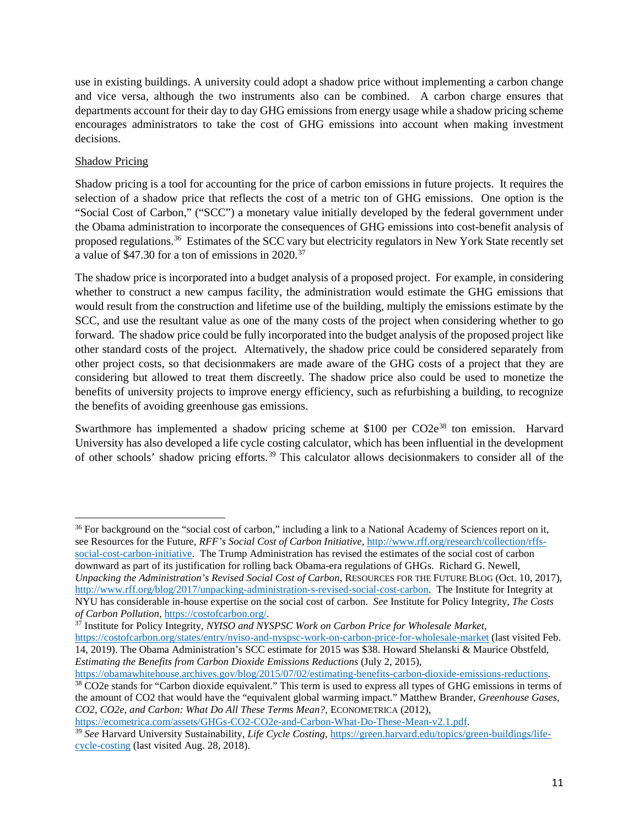use in existing buildings. A university could adopt a shadow price without implementing a carbon change and vice versa, although the two instruments also can be combined. A carbon charge ensures that departments account for their day to day GHG emissions from energy usage while a shadow pricing scheme encourages administrators to take the cost of GHG emissions into account when making investment decisions.

## <span id="page-10-0"></span>Shadow Pricing

 $\overline{a}$ 

Shadow pricing is a tool for accounting for the price of carbon emissions in future projects. It requires the selection of a shadow price that reflects the cost of a metric ton of GHG emissions. One option is the "Social Cost of Carbon," ("SCC") a monetary value initially developed by the federal government under the Obama administration to incorporate the consequences of GHG emissions into cost-benefit analysis of proposed regulations.[36](#page-10-1) Estimates of the SCC vary but electricity regulators in New York State recently set a value of \$47.30 for a ton of emissions in 2020.[37](#page-10-2) 

The shadow price is incorporated into a budget analysis of a proposed project. For example, in considering whether to construct a new campus facility, the administration would estimate the GHG emissions that would result from the construction and lifetime use of the building, multiply the emissions estimate by the SCC, and use the resultant value as one of the many costs of the project when considering whether to go forward. The shadow price could be fully incorporated into the budget analysis of the proposed project like other standard costs of the project. Alternatively, the shadow price could be considered separately from other project costs, so that decisionmakers are made aware of the GHG costs of a project that they are considering but allowed to treat them discreetly. The shadow price also could be used to monetize the benefits of university projects to improve energy efficiency, such as refurbishing a building, to recognize the benefits of avoiding greenhouse gas emissions.

<span id="page-10-5"></span>Swarthmore has implemented a shadow pricing scheme at \$100 per CO2e<sup>[38](#page-10-3)</sup> ton emission. Harvard University has also developed a life cycle costing calculator, which has been influential in the development of other schools' shadow pricing efforts.[39](#page-10-4) This calculator allows decisionmakers to consider all of the

<span id="page-10-1"></span><sup>36</sup> For background on the "social cost of carbon," including a link to a National Academy of Sciences report on it, see Resources for the Future, *RFF's Social Cost of Carbon Initiative*[, http://www.rff.org/research/collection/rffs](http://www.rff.org/research/collection/rffs-social-cost-carbon-initiative)[social-cost-carbon-initiative.](http://www.rff.org/research/collection/rffs-social-cost-carbon-initiative) The Trump Administration has revised the estimates of the social cost of carbon downward as part of its justification for rolling back Obama-era regulations of GHGs. Richard G. Newell, *Unpacking the Administration's Revised Social Cost of Carbon*, RESOURCES FOR THE FUTURE BLOG (Oct. 10, 2017), [http://www.rff.org/blog/2017/unpacking-administration-s-revised-social-cost-carbon.](http://www.rff.org/blog/2017/unpacking-administration-s-revised-social-cost-carbon) The Institute for Integrity at NYU has considerable in-house expertise on the social cost of carbon. *See* Institute for Policy Integrity, *The Costs of Carbon Pollution*, [https://costofcarbon.org/.](https://costofcarbon.org/)

<span id="page-10-2"></span><sup>37</sup> Institute for Policy Integrity, *NYISO and NYSPSC Work on Carbon Price for Wholesale Market*,

<https://costofcarbon.org/states/entry/nyiso-and-nyspsc-work-on-carbon-price-for-wholesale-market> (last visited Feb. 14, 2019). The Obama Administration's SCC estimate for 2015 was \$38. Howard Shelanski & Maurice Obstfeld, *Estimating the Benefits from Carbon Dioxide Emissions Reductions* (July 2, 2015),<br>https://obamawhitehouse.archives.gov/blog/2015/07/02/estimating-benefits-carbon-dioxide-emissions-reductions.

[https://ecometrica.com/assets/GHGs-CO2-CO2e-and-Carbon-What-Do-These-Mean-v2.1.pdf.](https://ecometrica.com/assets/GHGs-CO2-CO2e-and-Carbon-What-Do-These-Mean-v2.1.pdf) 39 *See* Harvard University Sustainability, *Life Cycle Costing*, [https://green.harvard.edu/topics/green-buildings/life-](https://green.harvard.edu/topics/green-buildings/life-cycle-costing)

<span id="page-10-3"></span><sup>&</sup>lt;sup>38</sup> CO2e stands for "Carbon dioxide equivalent." This term is used to express all types of GHG emissions in terms of the amount of CO2 that would have the "equivalent global warming impact." Matthew Brander, *Greenhouse Gases, CO2, CO2e, and Carbon: What Do All These Terms Mean?*, ECONOMETRICA (2012),

<span id="page-10-4"></span>[cycle-costing](https://green.harvard.edu/topics/green-buildings/life-cycle-costing) (last visited Aug. 28, 2018).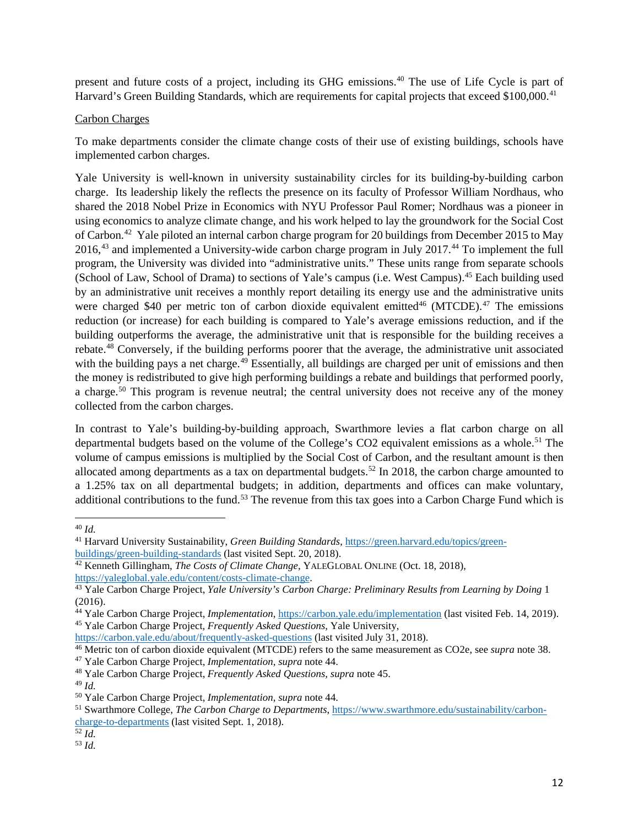present and future costs of a project, including its GHG emissions[.40](#page-11-3) The use of Life Cycle is part of Harvard's Green Building Standards, which are requirements for capital projects that exceed \$100,000.<sup>[41](#page-11-4)</sup>

#### <span id="page-11-0"></span>Carbon Charges

To make departments consider the climate change costs of their use of existing buildings, schools have implemented carbon charges.

<span id="page-11-2"></span><span id="page-11-1"></span>Yale University is well-known in university sustainability circles for its building-by-building carbon charge. Its leadership likely the reflects the presence on its faculty of Professor William Nordhaus, who shared the 2018 Nobel Prize in Economics with NYU Professor Paul Romer; Nordhaus was a pioneer in using economics to analyze climate change, and his work helped to lay the groundwork for the Social Cost of Carbon.[42](#page-11-5) Yale piloted an internal carbon charge program for 20 buildings from December 2015 to May 2016,<sup>[43](#page-11-6)</sup> and implemented a University-wide carbon charge program in July 2017.<sup>[44](#page-11-7)</sup> To implement the full program, the University was divided into "administrative units." These units range from separate schools (School of Law, School of Drama) to sections of Yale's campus (i.e. West Campus).[45](#page-11-8) Each building used by an administrative unit receives a monthly report detailing its energy use and the administrative units were charged \$40 per metric ton of carbon dioxide equivalent emitted<sup>[46](#page-11-9)</sup> (MTCDE).<sup>[47](#page-11-10)</sup> The emissions reduction (or increase) for each building is compared to Yale's average emissions reduction, and if the building outperforms the average, the administrative unit that is responsible for the building receives a rebate.[48](#page-11-11) Conversely, if the building performs poorer that the average, the administrative unit associated with the building pays a net charge.<sup>[49](#page-11-12)</sup> Essentially, all buildings are charged per unit of emissions and then the money is redistributed to give high performing buildings a rebate and buildings that performed poorly, a charge.<sup>[50](#page-11-13)</sup> This program is revenue neutral; the central university does not receive any of the money collected from the carbon charges.

In contrast to Yale's building-by-building approach, Swarthmore levies a flat carbon charge on all departmental budgets based on the volume of the College's CO2 equivalent emissions as a whole.<sup>[51](#page-11-14)</sup> The volume of campus emissions is multiplied by the Social Cost of Carbon, and the resultant amount is then allocated among departments as a tax on departmental budgets.<sup>[52](#page-11-15)</sup> In 2018, the carbon charge amounted to a 1.25% tax on all departmental budgets; in addition, departments and offices can make voluntary, additional contributions to the fund.<sup>[53](#page-11-16)</sup> The revenue from this tax goes into a Carbon Charge Fund which is

 $\overline{a}$ 

<span id="page-11-15"></span>

<span id="page-11-3"></span><sup>40</sup> *Id.*

<span id="page-11-4"></span><sup>&</sup>lt;sup>41</sup> Harvard University Sustainability, *Green Building Standards*, https://green.harvard.edu/topics/green-<br>buildings/green-building-standards (last visited Sept. 20, 2018).

<span id="page-11-5"></span><sup>&</sup>lt;sup>42</sup> Kenneth Gillingham, *The Costs of Climate Change*, YALEGLOBAL ONLINE (Oct. 18, 2018), [https://yaleglobal.yale.edu/content/costs-climate-change.](https://yaleglobal.yale.edu/content/costs-climate-change)

<span id="page-11-6"></span><sup>43</sup> Yale Carbon Charge Project, *Yale University's Carbon Charge: Preliminary Results from Learning by Doing* 1 (2016).

<span id="page-11-7"></span><sup>44</sup> Yale Carbon Charge Project, *Implementation*, https://carbon.yale.edu/implementation [\(](https://carbon.yale.edu/implementation)last visited Feb. 14, 2019). 45 Yale Carbon Charge Project*, Frequently Asked Questions*, Yale University,

<span id="page-11-8"></span>https://carbon.yale.edu/about/frequently-asked-questions (last visited July 31, 2018). 46 Metric ton of carbon dioxide equivalent (MTCDE) refers to the same measurement as CO2e, see *supra* note [38.](#page-10-5)

<span id="page-11-10"></span><span id="page-11-9"></span><sup>47</sup> Yale Carbon Charge Project, *Implementation*, *supra* note [44.](#page-11-1)

<span id="page-11-11"></span><sup>48</sup> Yale Carbon Charge Project, *Frequently Asked Questions, supra* note [45.](#page-11-2) 49 *Id.*

<span id="page-11-13"></span><span id="page-11-12"></span><sup>50</sup> Yale Carbon Charge Project, *Implementation*, *supra* note [44.](#page-11-1)

<span id="page-11-14"></span><sup>51</sup> Swarthmore College, *The Carbon Charge to Departments*, [https://www.swarthmore.edu/sustainability/carbon](https://www.swarthmore.edu/sustainability/carbon-charge-to-departments)charge-to-departments (last visited Sept. 1, 2018). 52 *Id.*

<span id="page-11-16"></span><sup>53</sup> *Id.*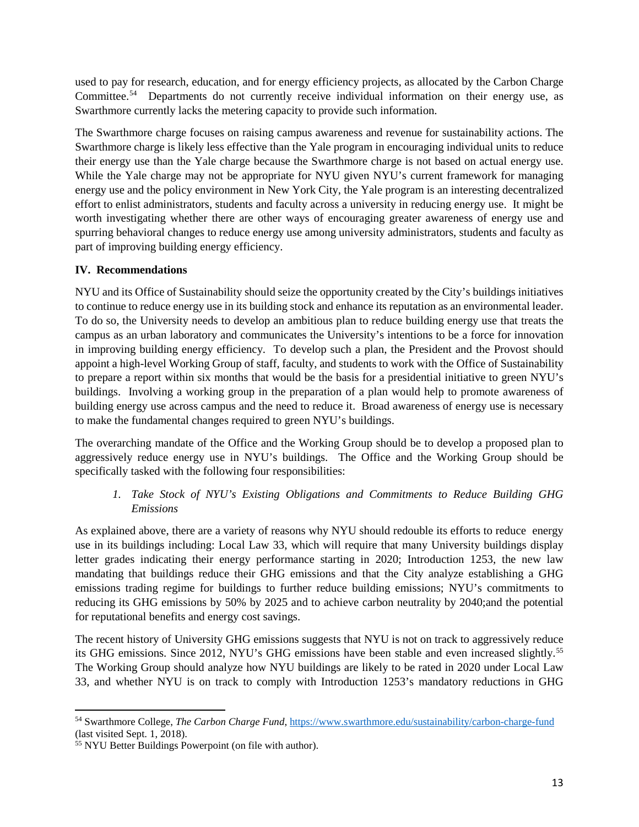used to pay for research, education, and for energy efficiency projects, as allocated by the Carbon Charge Committee.<sup>[54](#page-12-2)</sup> Departments do not currently receive individual information on their energy use, as Swarthmore currently lacks the metering capacity to provide such information.

The Swarthmore charge focuses on raising campus awareness and revenue for sustainability actions. The Swarthmore charge is likely less effective than the Yale program in encouraging individual units to reduce their energy use than the Yale charge because the Swarthmore charge is not based on actual energy use. While the Yale charge may not be appropriate for NYU given NYU's current framework for managing energy use and the policy environment in New York City, the Yale program is an interesting decentralized effort to enlist administrators, students and faculty across a university in reducing energy use. It might be worth investigating whether there are other ways of encouraging greater awareness of energy use and spurring behavioral changes to reduce energy use among university administrators, students and faculty as part of improving building energy efficiency.

## <span id="page-12-0"></span>**IV. Recommendations**

NYU and its Office of Sustainability should seize the opportunity created by the City's buildings initiatives to continue to reduce energy use in its building stock and enhance its reputation as an environmental leader. To do so, the University needs to develop an ambitious plan to reduce building energy use that treats the campus as an urban laboratory and communicates the University's intentions to be a force for innovation in improving building energy efficiency. To develop such a plan, the President and the Provost should appoint a high-level Working Group of staff, faculty, and students to work with the Office of Sustainability to prepare a report within six months that would be the basis for a presidential initiative to green NYU's buildings. Involving a working group in the preparation of a plan would help to promote awareness of building energy use across campus and the need to reduce it. Broad awareness of energy use is necessary to make the fundamental changes required to green NYU's buildings.

The overarching mandate of the Office and the Working Group should be to develop a proposed plan to aggressively reduce energy use in NYU's buildings. The Office and the Working Group should be specifically tasked with the following four responsibilities:

## *1. Take Stock of NYU's Existing Obligations and Commitments to Reduce Building GHG Emissions*

<span id="page-12-1"></span>As explained above, there are a variety of reasons why NYU should redouble its efforts to reduce energy use in its buildings including: Local Law 33, which will require that many University buildings display letter grades indicating their energy performance starting in 2020; Introduction 1253, the new law mandating that buildings reduce their GHG emissions and that the City analyze establishing a GHG emissions trading regime for buildings to further reduce building emissions; NYU's commitments to reducing its GHG emissions by 50% by 2025 and to achieve carbon neutrality by 2040;and the potential for reputational benefits and energy cost savings.

The recent history of University GHG emissions suggests that NYU is not on track to aggressively reduce its GHG emissions. Since 2012, NYU's GHG emissions have been stable and even increased slightly.[55](#page-12-3) The Working Group should analyze how NYU buildings are likely to be rated in 2020 under Local Law 33, and whether NYU is on track to comply with Introduction 1253's mandatory reductions in GHG

 $\overline{\phantom{a}}$ 

<span id="page-12-2"></span><sup>54</sup> Swarthmore College, *The Carbon Charge Fund*[, https://www.swarthmore.edu/sustainability/carbon-charge-fund](https://www.swarthmore.edu/sustainability/carbon-charge-fund) (last visited Sept. 1, 2018).

<span id="page-12-3"></span><sup>55</sup> NYU Better Buildings Powerpoint (on file with author).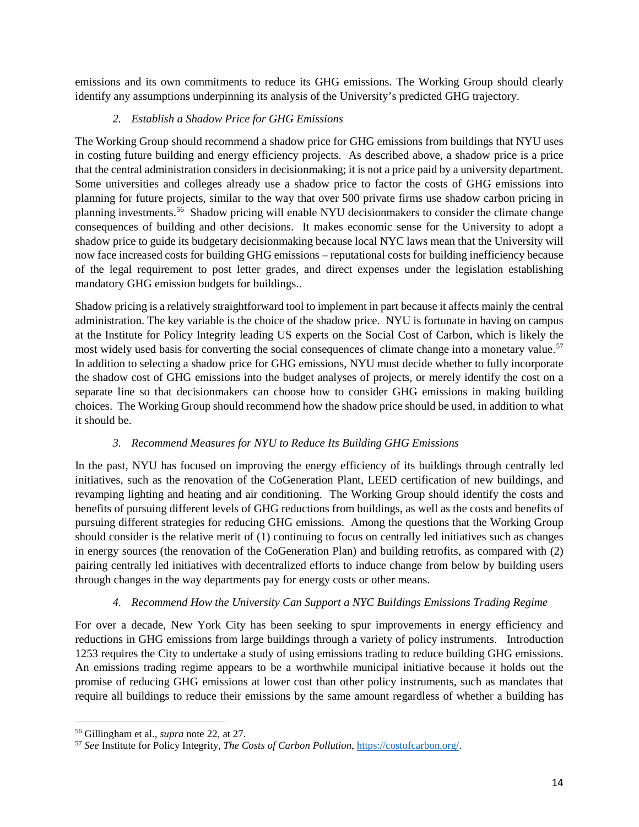emissions and its own commitments to reduce its GHG emissions. The Working Group should clearly identify any assumptions underpinning its analysis of the University's predicted GHG trajectory.

## *2. Establish a Shadow Price for GHG Emissions*

<span id="page-13-0"></span>The Working Group should recommend a shadow price for GHG emissions from buildings that NYU uses in costing future building and energy efficiency projects. As described above, a shadow price is a price that the central administration considers in decisionmaking; it is not a price paid by a university department. Some universities and colleges already use a shadow price to factor the costs of GHG emissions into planning for future projects, similar to the way that over 500 private firms use shadow carbon pricing in planning investments.[56](#page-13-3) Shadow pricing will enable NYU decisionmakers to consider the climate change consequences of building and other decisions. It makes economic sense for the University to adopt a shadow price to guide its budgetary decisionmaking because local NYC laws mean that the University will now face increased costs for building GHG emissions – reputational costs for building inefficiency because of the legal requirement to post letter grades, and direct expenses under the legislation establishing mandatory GHG emission budgets for buildings..

Shadow pricing is a relatively straightforward tool to implement in part because it affects mainly the central administration. The key variable is the choice of the shadow price. NYU is fortunate in having on campus at the Institute for Policy Integrity leading US experts on the Social Cost of Carbon, which is likely the most widely used basis for converting the social consequences of climate change into a monetary value.<sup>[57](#page-13-4)</sup> In addition to selecting a shadow price for GHG emissions, NYU must decide whether to fully incorporate the shadow cost of GHG emissions into the budget analyses of projects, or merely identify the cost on a separate line so that decisionmakers can choose how to consider GHG emissions in making building choices. The Working Group should recommend how the shadow price should be used, in addition to what it should be.

### *3. Recommend Measures for NYU to Reduce Its Building GHG Emissions*

<span id="page-13-1"></span>In the past, NYU has focused on improving the energy efficiency of its buildings through centrally led initiatives, such as the renovation of the CoGeneration Plant, LEED certification of new buildings, and revamping lighting and heating and air conditioning. The Working Group should identify the costs and benefits of pursuing different levels of GHG reductions from buildings, as well as the costs and benefits of pursuing different strategies for reducing GHG emissions. Among the questions that the Working Group should consider is the relative merit of (1) continuing to focus on centrally led initiatives such as changes in energy sources (the renovation of the CoGeneration Plan) and building retrofits, as compared with (2) pairing centrally led initiatives with decentralized efforts to induce change from below by building users through changes in the way departments pay for energy costs or other means.

## *4. Recommend How the University Can Support a NYC Buildings Emissions Trading Regime*

<span id="page-13-2"></span>For over a decade, New York City has been seeking to spur improvements in energy efficiency and reductions in GHG emissions from large buildings through a variety of policy instruments. Introduction 1253 requires the City to undertake a study of using emissions trading to reduce building GHG emissions. An emissions trading regime appears to be a worthwhile municipal initiative because it holds out the promise of reducing GHG emissions at lower cost than other policy instruments, such as mandates that require all buildings to reduce their emissions by the same amount regardless of whether a building has

l

<span id="page-13-3"></span><sup>56</sup> Gillingham et al., *supra* note [22,](#page-6-2) at 27.

<span id="page-13-4"></span><sup>57</sup> *See* Institute for Policy Integrity, *The Costs of Carbon Pollution*, [https://costofcarbon.org/.](https://costofcarbon.org/)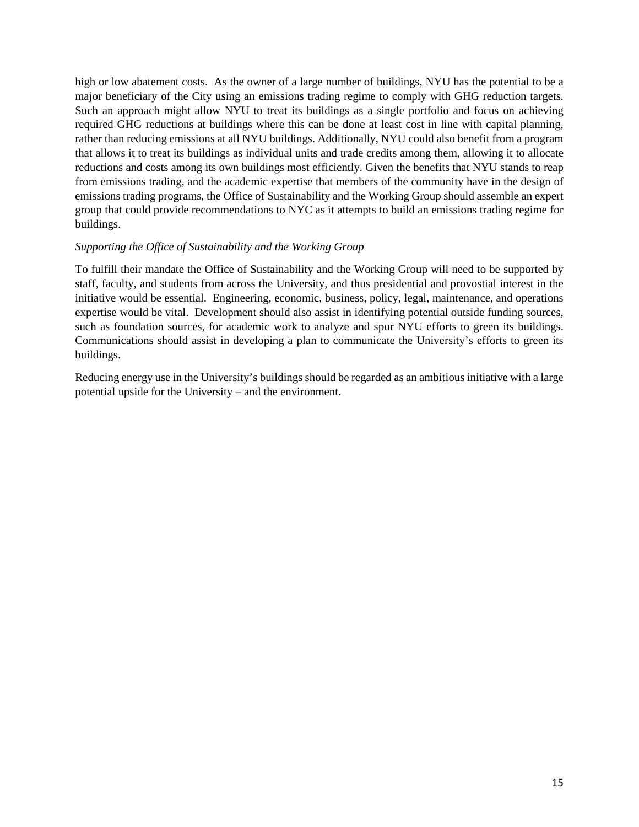high or low abatement costs. As the owner of a large number of buildings, NYU has the potential to be a major beneficiary of the City using an emissions trading regime to comply with GHG reduction targets. Such an approach might allow NYU to treat its buildings as a single portfolio and focus on achieving required GHG reductions at buildings where this can be done at least cost in line with capital planning, rather than reducing emissions at all NYU buildings. Additionally, NYU could also benefit from a program that allows it to treat its buildings as individual units and trade credits among them, allowing it to allocate reductions and costs among its own buildings most efficiently. Given the benefits that NYU stands to reap from emissions trading, and the academic expertise that members of the community have in the design of emissions trading programs, the Office of Sustainability and the Working Group should assemble an expert group that could provide recommendations to NYC as it attempts to build an emissions trading regime for buildings.

#### <span id="page-14-0"></span>*Supporting the Office of Sustainability and the Working Group*

To fulfill their mandate the Office of Sustainability and the Working Group will need to be supported by staff, faculty, and students from across the University, and thus presidential and provostial interest in the initiative would be essential. Engineering, economic, business, policy, legal, maintenance, and operations expertise would be vital. Development should also assist in identifying potential outside funding sources, such as foundation sources, for academic work to analyze and spur NYU efforts to green its buildings. Communications should assist in developing a plan to communicate the University's efforts to green its buildings.

Reducing energy use in the University's buildings should be regarded as an ambitious initiative with a large potential upside for the University – and the environment.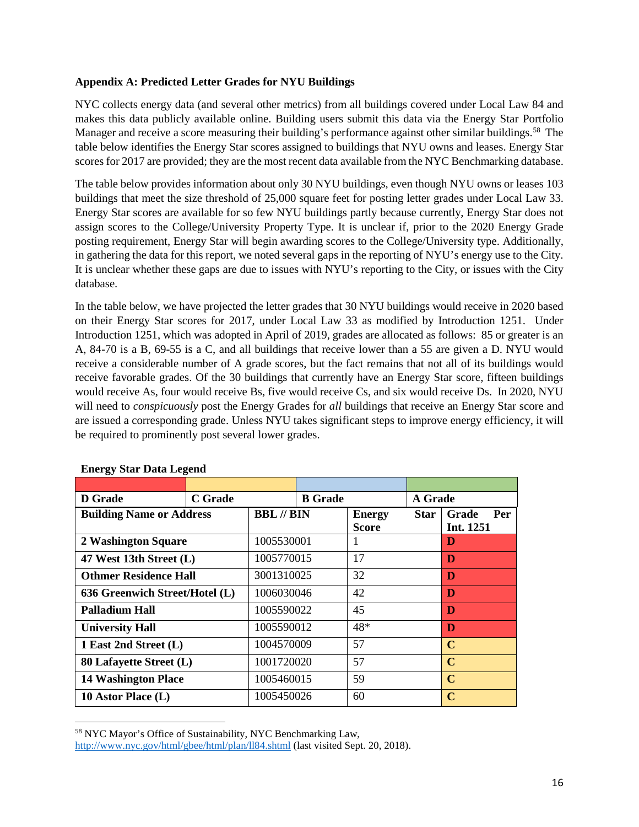#### <span id="page-15-0"></span>**Appendix A: Predicted Letter Grades for NYU Buildings**

NYC collects energy data (and several other metrics) from all buildings covered under Local Law 84 and makes this data publicly available online. Building users submit this data via the Energy Star Portfolio Manager and receive a score measuring their building's performance against other similar buildings.<sup>58</sup> The table below identifies the Energy Star scores assigned to buildings that NYU owns and leases. Energy Star scores for 2017 are provided; they are the most recent data available from the NYC Benchmarking database.

The table below provides information about only 30 NYU buildings, even though NYU owns or leases 103 buildings that meet the size threshold of 25,000 square feet for posting letter grades under Local Law 33. Energy Star scores are available for so few NYU buildings partly because currently, Energy Star does not assign scores to the College/University Property Type. It is unclear if, prior to the 2020 Energy Grade posting requirement, Energy Star will begin awarding scores to the College/University type. Additionally, in gathering the data for this report, we noted several gaps in the reporting of NYU's energy use to the City. It is unclear whether these gaps are due to issues with NYU's reporting to the City, or issues with the City database.

In the table below, we have projected the letter grades that 30 NYU buildings would receive in 2020 based on their Energy Star scores for 2017, under Local Law 33 as modified by Introduction 1251. Under Introduction 1251, which was adopted in April of 2019, grades are allocated as follows: 85 or greater is an A, 84-70 is a B, 69-55 is a C, and all buildings that receive lower than a 55 are given a D. NYU would receive a considerable number of A grade scores, but the fact remains that not all of its buildings would receive favorable grades. Of the 30 buildings that currently have an Energy Star score, fifteen buildings would receive As, four would receive Bs, five would receive Cs, and six would receive Ds. In 2020, NYU will need to *conspicuously* post the Energy Grades for *all* buildings that receive an Energy Star score and are issued a corresponding grade. Unless NYU takes significant steps to improve energy efficiency, it will be required to prominently post several lower grades.

| <b>D</b> Grade                  | <b>C</b> Grade |                          | <b>B</b> Grade |                               | A Grade     |                           |
|---------------------------------|----------------|--------------------------|----------------|-------------------------------|-------------|---------------------------|
| <b>Building Name or Address</b> |                | <b>BBL</b> // <b>BIN</b> |                | <b>Energy</b><br><b>Score</b> | <b>Star</b> | Grade<br>Per<br>Int. 1251 |
| 2 Washington Square             |                | 1005530001               |                | 1                             |             | D                         |
| 47 West 13th Street (L)         |                | 1005770015               |                | 17                            |             | D                         |
| <b>Othmer Residence Hall</b>    |                | 3001310025               |                | 32                            |             | D                         |
| 636 Greenwich Street/Hotel (L)  |                | 1006030046               |                | 42                            |             | D                         |
| Palladium Hall                  |                | 1005590022               |                | 45                            |             | D                         |
| <b>University Hall</b>          |                | 1005590012               |                | 48*                           |             | D                         |
| 1 East 2nd Street (L)           |                | 1004570009               |                | 57                            |             | $\mathbf C$               |
| 80 Lafayette Street (L)         |                | 1001720020               |                | 57                            |             | $\mathbf C$               |
| <b>14 Washington Place</b>      |                | 1005460015               |                | 59                            |             | $\mathbf C$               |
| 10 Astor Place $(L)$            |                | 1005450026               |                | 60                            |             | $\mathbf C$               |

#### **Energy Star Data Legend**

l

<span id="page-15-1"></span><sup>58</sup> NYC Mayor's Office of Sustainability, NYC Benchmarking Law,

<http://www.nyc.gov/html/gbee/html/plan/ll84.shtml> (last visited Sept. 20, 2018).